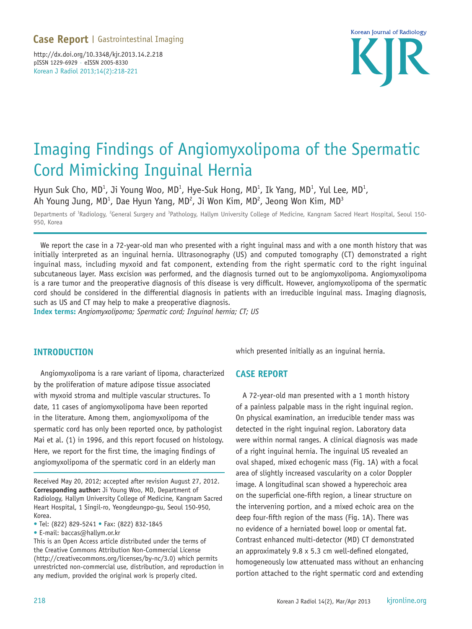Korean J Radiol 2013;14(2):218-221 http://dx.doi.org/10.3348/kjr.2013.14.2.218 pISSN 1229-6929 · eISSN 2005-8330



# Imaging Findings of Angiomyxolipoma of the Spermatic Cord Mimicking Inguinal Hernia

Hyun Suk Cho, MD<sup>1</sup>, Ji Young Woo, MD<sup>1</sup>, Hye-Suk Hong, MD<sup>1</sup>, Ik Yang, MD<sup>1</sup>, Yul Lee, MD<sup>1</sup>, Ah Young Jung, MD<sup>1</sup>, Dae Hyun Yang, MD<sup>2</sup>, Ji Won Kim, MD<sup>2</sup>, Jeong Won Kim, MD<sup>3</sup>

Departments of <sup>1</sup>Radiology, <sup>2</sup>General Surgery and <sup>3</sup>Pathology, Hallym University College of Medicine, Kangnam Sacred Heart Hospital, Seoul 150-950, Korea

We report the case in a 72-year-old man who presented with a right inguinal mass and with a one month history that was initially interpreted as an inguinal hernia. Ultrasonography (US) and computed tomography (CT) demonstrated a right inguinal mass, including myxoid and fat component, extending from the right spermatic cord to the right inguinal subcutaneous layer. Mass excision was performed, and the diagnosis turned out to be angiomyxolipoma. Angiomyxolipoma is a rare tumor and the preoperative diagnosis of this disease is very difficult. However, angiomyxolipoma of the spermatic cord should be considered in the differential diagnosis in patients with an irreducible inguinal mass. Imaging diagnosis, such as US and CT may help to make a preoperative diagnosis.

**Index terms:** *Angiomyxolipoma; Spermatic cord; Inguinal hernia; CT; US*

## **INTRODUCTION**

Angiomyxolipoma is a rare variant of lipoma, characterized by the proliferation of mature adipose tissue associated with myxoid stroma and multiple vascular structures. To date, 11 cases of angiomyxolipoma have been reported in the literature. Among them, angiomyxolipoma of the spermatic cord has only been reported once, by pathologist Mai et al. (1) in 1996, and this report focused on histology. Here, we report for the first time, the imaging findings of angiomyxolipoma of the spermatic cord in an elderly man

Received May 20, 2012; accepted after revision August 27, 2012. **Corresponding author:** Ji Young Woo, MD, Department of Radiology, Hallym University College of Medicine, Kangnam Sacred Heart Hospital, 1 Singil-ro, Yeongdeungpo-gu, Seoul 150-950, Korea.

• Tel: (822) 829-5241 • Fax: (822) 832-1845

• E-mail: baccas@hallym.or.kr

This is an Open Access article distributed under the terms of the Creative Commons Attribution Non-Commercial License (http://creativecommons.org/licenses/by-nc/3.0) which permits unrestricted non-commercial use, distribution, and reproduction in any medium, provided the original work is properly cited.

which presented initially as an inguinal hernia.

### **CASE REPORT**

A 72-year-old man presented with a 1 month history of a painless palpable mass in the right inguinal region. On physical examination, an irreducible tender mass was detected in the right inguinal region. Laboratory data were within normal ranges. A clinical diagnosis was made of a right inguinal hernia. The inguinal US revealed an oval shaped, mixed echogenic mass (Fig. 1A) with a focal area of slightly increased vascularity on a color Doppler image. A longitudinal scan showed a hyperechoic area on the superficial one-fifth region, a linear structure on the intervening portion, and a mixed echoic area on the deep four-fifth region of the mass (Fig. 1A). There was no evidence of a herniated bowel loop or omental fat. Contrast enhanced multi-detector (MD) CT demonstrated an approximately 9.8 x 5.3 cm well-defined elongated, homogeneously low attenuated mass without an enhancing portion attached to the right spermatic cord and extending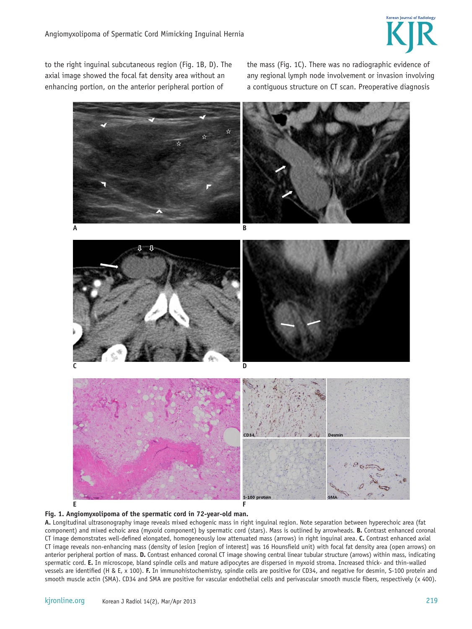

to the right inguinal subcutaneous region (Fig. 1B, D). The axial image showed the focal fat density area without an enhancing portion, on the anterior peripheral portion of

the mass (Fig. 1C). There was no radiographic evidence of any regional lymph node involvement or invasion involving a contiguous structure on CT scan. Preoperative diagnosis





**A.** Longitudinal ultrasonography image reveals mixed echogenic mass in right inguinal region. Note separation between hyperechoic area (fat component) and mixed echoic area (myxoid component) by spermatic cord (stars). Mass is outlined by arrowheads. **B.** Contrast enhanced coronal CT image demonstrates well-defined elongated, homogeneously low attenuated mass (arrows) in right inguinal area. **C.** Contrast enhanced axial CT image reveals non-enhancing mass (density of lesion [region of interest] was 16 Hounsfield unit) with focal fat density area (open arrows) on anterior peripheral portion of mass. **D.** Contrast enhanced coronal CT image showing central linear tubular structure (arrows) within mass, indicating spermatic cord. **E.** In microscope, bland spindle cells and mature adipocytes are dispersed in myxoid stroma. Increased thick- and thin-walled vessels are identified (H & E, x 100). **F.** In immunohistochemistry, spindle cells are positive for CD34, and negative for desmin, S-100 protein and smooth muscle actin (SMA). CD34 and SMA are positive for vascular endothelial cells and perivascular smooth muscle fibers, respectively (x 400).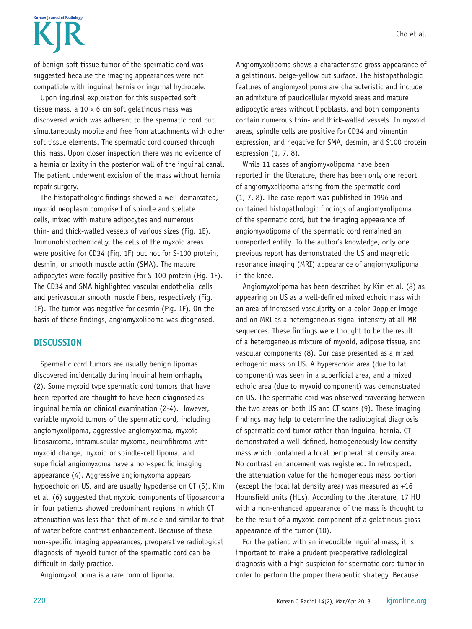# Korean Journal of Radiolom

of benign soft tissue tumor of the spermatic cord was suggested because the imaging appearances were not compatible with inguinal hernia or inguinal hydrocele.

Upon inguinal exploration for this suspected soft tissue mass, a 10 x 6 cm soft gelatinous mass was discovered which was adherent to the spermatic cord but simultaneously mobile and free from attachments with other soft tissue elements. The spermatic cord coursed through this mass. Upon closer inspection there was no evidence of a hernia or laxity in the posterior wall of the inguinal canal. The patient underwent excision of the mass without hernia repair surgery.

The histopathologic findings showed a well-demarcated, myxoid neoplasm comprised of spindle and stellate cells, mixed with mature adipocytes and numerous thin- and thick-walled vessels of various sizes (Fig. 1E). Immunohistochemically, the cells of the myxoid areas were positive for CD34 (Fig. 1F) but not for S-100 protein, desmin, or smooth muscle actin (SMA). The mature adipocytes were focally positive for S-100 protein (Fig. 1F). The CD34 and SMA highlighted vascular endothelial cells and perivascular smooth muscle fibers, respectively (Fig. 1F). The tumor was negative for desmin (Fig. 1F). On the basis of these findings, angiomyxolipoma was diagnosed.

## **DISCUSSION**

Spermatic cord tumors are usually benign lipomas discovered incidentally during inguinal herniorrhaphy (2). Some myxoid type spermatic cord tumors that have been reported are thought to have been diagnosed as inguinal hernia on clinical examination (2-4). However, variable myxoid tumors of the spermatic cord, including angiomyxolipoma, aggressive angiomyxoma, myxoid liposarcoma, intramuscular myxoma, neurofibroma with myxoid change, myxoid or spindle-cell lipoma, and superficial angiomyxoma have a non-specific imaging appearance (4). Aggressive angiomyxoma appears hypoechoic on US, and are usually hypodense on CT (5). Kim et al. (6) suggested that myxoid components of liposarcoma in four patients showed predominant regions in which CT attenuation was less than that of muscle and similar to that of water before contrast enhancement. Because of these non-specific imaging appearances, preoperative radiological diagnosis of myxoid tumor of the spermatic cord can be difficult in daily practice.

Angiomyxolipoma is a rare form of lipoma.

Angiomyxolipoma shows a characteristic gross appearance of a gelatinous, beige-yellow cut surface. The histopathologic features of angiomyxolipoma are characteristic and include an admixture of paucicellular myxoid areas and mature adipocytic areas without lipoblasts, and both components contain numerous thin- and thick-walled vessels. In myxoid areas, spindle cells are positive for CD34 and vimentin expression, and negative for SMA, desmin, and S100 protein expression (1, 7, 8).

While 11 cases of angiomyxolipoma have been reported in the literature, there has been only one report of angiomyxolipoma arising from the spermatic cord (1, 7, 8). The case report was published in 1996 and contained histopathologic findings of angiomyxolipoma of the spermatic cord, but the imaging appearance of angiomyxolipoma of the spermatic cord remained an unreported entity. To the author's knowledge, only one previous report has demonstrated the US and magnetic resonance imaging (MRI) appearance of angiomyxolipoma in the knee.

Angiomyxolipoma has been described by Kim et al. (8) as appearing on US as a well-defined mixed echoic mass with an area of increased vascularity on a color Doppler image and on MRI as a heterogeneous signal intensity at all MR sequences. These findings were thought to be the result of a heterogeneous mixture of myxoid, adipose tissue, and vascular components (8). Our case presented as a mixed echogenic mass on US. A hyperechoic area (due to fat component) was seen in a superficial area, and a mixed echoic area (due to myxoid component) was demonstrated on US. The spermatic cord was observed traversing between the two areas on both US and CT scans (9). These imaging findings may help to determine the radiological diagnosis of spermatic cord tumor rather than inguinal hernia. CT demonstrated a well-defined, homogeneously low density mass which contained a focal peripheral fat density area. No contrast enhancement was registered. In retrospect, the attenuation value for the homogeneous mass portion (except the focal fat density area) was measured as +16 Hounsfield units (HUs). According to the literature, 17 HU with a non-enhanced appearance of the mass is thought to be the result of a myxoid component of a gelatinous gross appearance of the tumor (10).

For the patient with an irreducible inguinal mass, it is important to make a prudent preoperative radiological diagnosis with a high suspicion for spermatic cord tumor in order to perform the proper therapeutic strategy. Because